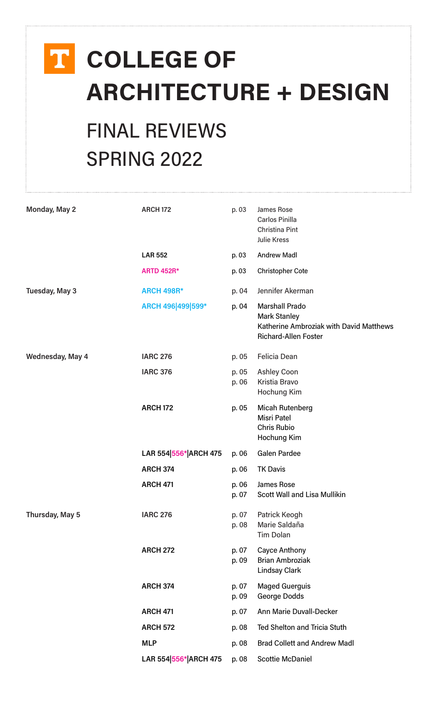# **COLLEGE OF ARCHITECTURE + DESIGN**

## FINAL REVIEWS SPRING 2022

| Monday, May 2    | <b>ARCH 172</b>       | p. 03          | James Rose<br>Carlos Pinilla<br>Christina Pint<br><b>Julie Kress</b>                                                   |
|------------------|-----------------------|----------------|------------------------------------------------------------------------------------------------------------------------|
|                  | <b>LAR 552</b>        | p. 03          | <b>Andrew Madl</b>                                                                                                     |
|                  | <b>ARTD 452R*</b>     | p. 03          | <b>Christopher Cote</b>                                                                                                |
| Tuesday, May 3   | <b>ARCH 498R*</b>     | p. 04          | Jennifer Akerman                                                                                                       |
|                  | ARCH 496 499 599*     | p. 04          | <b>Marshall Prado</b><br><b>Mark Stanley</b><br>Katherine Ambroziak with David Matthews<br><b>Richard-Allen Foster</b> |
| Wednesday, May 4 | <b>IARC 276</b>       | p. 05          | Felicia Dean                                                                                                           |
|                  | <b>IARC 376</b>       | p. 05<br>p. 06 | <b>Ashley Coon</b><br>Kristia Bravo<br>Hochung Kim                                                                     |
|                  | <b>ARCH 172</b>       | p. 05          | <b>Micah Rutenberg</b><br><b>Misri Patel</b><br><b>Chris Rubio</b><br>Hochung Kim                                      |
|                  | LAR 554 556* ARCH 475 | p. 06          | <b>Galen Pardee</b>                                                                                                    |
|                  | <b>ARCH 374</b>       | p. 06          | <b>TK Davis</b>                                                                                                        |
|                  | <b>ARCH 471</b>       | p. 06<br>p. 07 | James Rose<br><b>Scott Wall and Lisa Mullikin</b>                                                                      |
| Thursday, May 5  | <b>IARC 276</b>       | p. 07<br>p. 08 | Patrick Keogh<br>Marie Saldaña<br><b>Tim Dolan</b>                                                                     |
|                  | <b>ARCH 272</b>       | p. 07<br>p. 09 | <b>Cayce Anthony</b><br><b>Brian Ambroziak</b><br><b>Lindsay Clark</b>                                                 |
|                  | <b>ARCH 374</b>       | p. 07<br>p. 09 | <b>Maged Guerguis</b><br>George Dodds                                                                                  |
|                  | <b>ARCH 471</b>       | p. 07          | <b>Ann Marie Duvall-Decker</b>                                                                                         |
|                  | <b>ARCH 572</b>       | p. 08          | Ted Shelton and Tricia Stuth                                                                                           |
|                  | <b>MLP</b>            | p. 08          | <b>Brad Collett and Andrew Madl</b>                                                                                    |
|                  | LAR 554 556* ARCH 475 | p. 08          | <b>Scottie McDaniel</b>                                                                                                |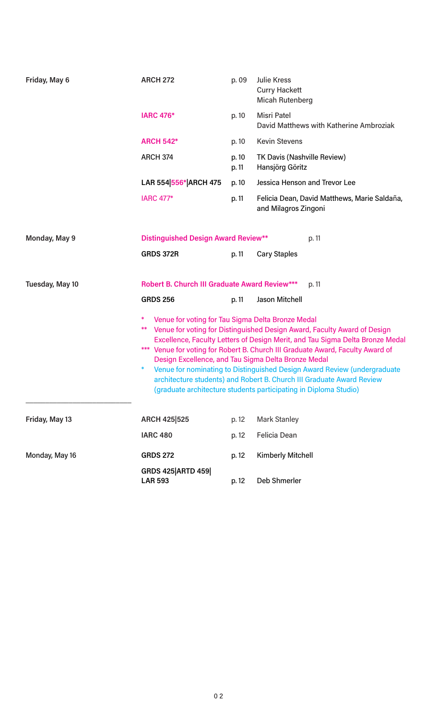| Friday, May 6   | <b>ARCH 272</b>                                               | p. 09                                                                                                                                                                                                                                                                                                                                                                                                                                                                                                                                                                            | <b>Julie Kress</b><br><b>Curry Hackett</b><br><b>Micah Rutenberg</b> |  |  |  |
|-----------------|---------------------------------------------------------------|----------------------------------------------------------------------------------------------------------------------------------------------------------------------------------------------------------------------------------------------------------------------------------------------------------------------------------------------------------------------------------------------------------------------------------------------------------------------------------------------------------------------------------------------------------------------------------|----------------------------------------------------------------------|--|--|--|
|                 | <b>IARC 476*</b>                                              | p. 10                                                                                                                                                                                                                                                                                                                                                                                                                                                                                                                                                                            | <b>Misri Patel</b><br>David Matthews with Katherine Ambroziak        |  |  |  |
|                 | <b>ARCH 542*</b>                                              | p. 10                                                                                                                                                                                                                                                                                                                                                                                                                                                                                                                                                                            | <b>Kevin Stevens</b>                                                 |  |  |  |
|                 | <b>ARCH 374</b>                                               | p. 10<br>p. 11                                                                                                                                                                                                                                                                                                                                                                                                                                                                                                                                                                   | TK Davis (Nashville Review)<br>Hansjörg Göritz                       |  |  |  |
|                 | LAR 554 556* ARCH 475                                         | p. 10                                                                                                                                                                                                                                                                                                                                                                                                                                                                                                                                                                            | <b>Jessica Henson and Trevor Lee</b>                                 |  |  |  |
|                 | <b>IARC 477*</b>                                              | p. 11                                                                                                                                                                                                                                                                                                                                                                                                                                                                                                                                                                            | Felicia Dean, David Matthews, Marie Saldaña,<br>and Milagros Zingoni |  |  |  |
| Monday, May 9   |                                                               | <b>Distinguished Design Award Review**</b><br>p. 11                                                                                                                                                                                                                                                                                                                                                                                                                                                                                                                              |                                                                      |  |  |  |
|                 | <b>GRDS 372R</b>                                              | p. 11                                                                                                                                                                                                                                                                                                                                                                                                                                                                                                                                                                            | <b>Cary Staples</b>                                                  |  |  |  |
| Tuesday, May 10 | <b>Robert B. Church III Graduate Award Review***</b><br>p. 11 |                                                                                                                                                                                                                                                                                                                                                                                                                                                                                                                                                                                  |                                                                      |  |  |  |
|                 | <b>GRDS 256</b>                                               | p. 11                                                                                                                                                                                                                                                                                                                                                                                                                                                                                                                                                                            | Jason Mitchell                                                       |  |  |  |
|                 | *,<br>*                                                       | Venue for voting for Tau Sigma Delta Bronze Medal<br>Venue for voting for Distinguished Design Award, Faculty Award of Design<br>Excellence, Faculty Letters of Design Merit, and Tau Sigma Delta Bronze Medal<br>*** Venue for voting for Robert B. Church III Graduate Award, Faculty Award of<br>Design Excellence, and Tau Sigma Delta Bronze Medal<br>Venue for nominating to Distinguished Design Award Review (undergraduate<br>architecture students) and Robert B. Church III Graduate Award Review<br>(graduate architecture students participating in Diploma Studio) |                                                                      |  |  |  |
| Friday, May 13  | ARCH 425 525                                                  | p. 12                                                                                                                                                                                                                                                                                                                                                                                                                                                                                                                                                                            | <b>Mark Stanley</b>                                                  |  |  |  |
|                 | <b>IARC 480</b>                                               | p. 12                                                                                                                                                                                                                                                                                                                                                                                                                                                                                                                                                                            | <b>Felicia Dean</b>                                                  |  |  |  |
| Monday, May 16  | <b>GRDS 272</b>                                               | p. 12                                                                                                                                                                                                                                                                                                                                                                                                                                                                                                                                                                            | <b>Kimberly Mitchell</b>                                             |  |  |  |
|                 | <b>GRDS 425 ARTD 459</b><br><b>LAR 593</b>                    | p. 12                                                                                                                                                                                                                                                                                                                                                                                                                                                                                                                                                                            | Deb Shmerler                                                         |  |  |  |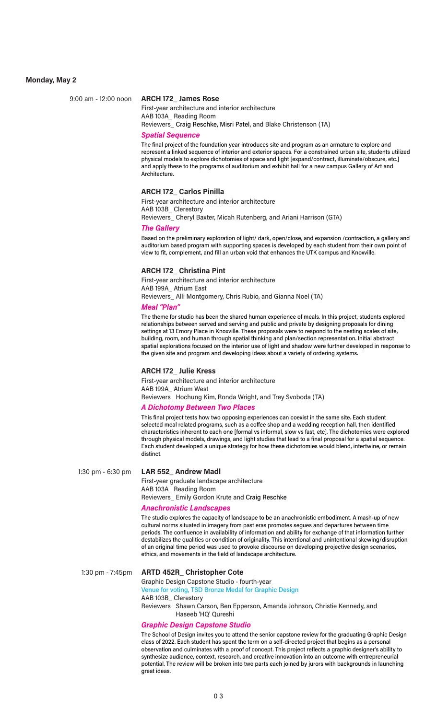#### **Monday, May 2**

#### 9:00 am - 12:00 noon **ARCH 172\_ James Rose**

First-year architecture and interior architecture AAB 103A\_ Reading Room Reviewers\_ Craig Reschke, Misri Patel, and Blake Christenson (TA)

#### *Spatial Sequence*

The final project of the foundation year introduces site and program as an armature to explore and represent a linked sequence of interior and exterior spaces. For a constrained urban site, students utilized physical models to explore dichotomies of space and light [expand/contract, illuminate/obscure, etc.] and apply these to the programs of auditorium and exhibit hall for a new campus Gallery of Art and Architecture.

#### **ARCH 172\_ Carlos Pinilla**

First-year architecture and interior architecture

AAB 103B\_ Clerestory Reviewers\_ Cheryl Baxter, Micah Rutenberg, and Ariani Harrison (GTA)

#### *The Gallery*

Based on the preliminary exploration of light/ dark, open/close, and expansion /contraction, a gallery and auditorium based program with supporting spaces is developed by each student from their own point of view to fit, complement, and fill an urban void that enhances the UTK campus and Knoxville.

#### **ARCH 172\_ Christina Pint**

First-year architecture and interior architecture AAB 199A\_ Atrium East Reviewers\_ Alli Montgomery, Chris Rubio, and Gianna Noel (TA)

#### *Meal "Plan"*

The theme for studio has been the shared human experience of meals. In this project, students explored relationships between served and serving and public and private by designing proposals for dining settings at 13 Emory Place in Knoxville. These proposals were to respond to the nesting scales of site, building, room, and human through spatial thinking and plan/section representation. Initial abstract spatial explorations focused on the interior use of light and shadow were further developed in response to the given site and program and developing ideas about a variety of ordering systems.

#### **ARCH 172\_ Julie Kress**

First-year architecture and interior architecture AAB 199A\_ Atrium West Reviewers\_ Hochung Kim, Ronda Wright, and Trey Svoboda (TA)

#### *A Dichotomy Between Two Places*

This final project tests how two opposing experiences can coexist in the same site. Each student selected meal related programs, such as a coffee shop and a wedding reception hall, then identified characteristics inherent to each one [formal vs informal, slow vs fast, etc]. The dichotomies were explored through physical models, drawings, and light studies that lead to a final proposal for a spatial sequence. Each student developed a unique strategy for how these dichotomies would blend, intertwine, or remain distinct.

#### 1:30 pm - 6:30 pm **LAR 552\_ Andrew Madl**

First-year graduate landscape architecture AAB 103A\_ Reading Room Reviewers\_ Emily Gordon Krute and Craig Reschke

#### *Anachronistic Landscapes*

The studio explores the capacity of landscape to be an anachronistic embodiment. A mash-up of new cultural norms situated in imagery from past eras promotes segues and departures between time periods. The confluence in availability of information and ability for exchange of that information further destabilizes the qualities or condition of originality. This intentional and unintentional skewing/disruption of an original time period was used to provoke discourse on developing projective design scenarios, ethics, and movements in the field of landscape architecture.

#### 1:30 pm - 7:45pm **ARTD 452R\_ Christopher Cote**

Graphic Design Capstone Studio - fourth-year Venue for voting, TSD Bronze Medal for Graphic Design AAB 103B\_ Clerestory

Reviewers\_ Shawn Carson, Ben Epperson, Amanda Johnson, Christie Kennedy, and Haseeb 'HQ' Qureshi

#### *Graphic Design Capstone Studio*

The School of Design invites you to attend the senior capstone review for the graduating Graphic Design class of 2022. Each student has spent the term on a self-directed project that begins as a personal observation and culminates with a proof of concept. This project reflects a graphic designer's ability to synthesize audience, context, research, and creative innovation into an outcome with entrepreneurial potential. The review will be broken into two parts each joined by jurors with backgrounds in launching great ideas.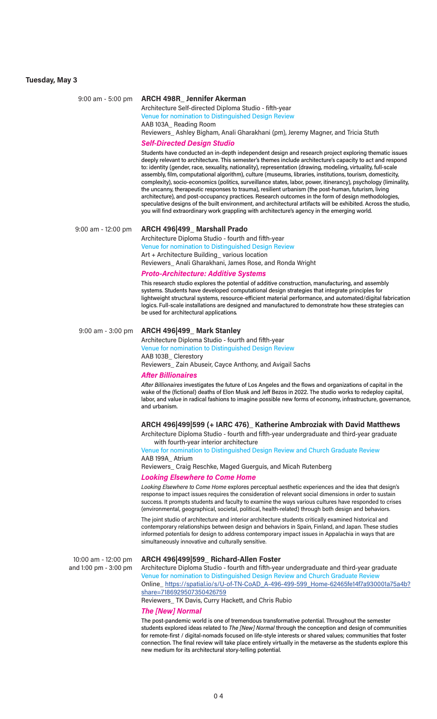## **Tuesday, May 3**

| $9:00$ am - 5:00 pm                          | <b>ARCH 498R_ Jennifer Akerman</b><br>Architecture Self-directed Diploma Studio - fifth-year                                                                                                                                                                                                                                                                                                                                                                                                                                                                                                                                                                                                                                                                                                                                                                                                                                                                                                            |
|----------------------------------------------|---------------------------------------------------------------------------------------------------------------------------------------------------------------------------------------------------------------------------------------------------------------------------------------------------------------------------------------------------------------------------------------------------------------------------------------------------------------------------------------------------------------------------------------------------------------------------------------------------------------------------------------------------------------------------------------------------------------------------------------------------------------------------------------------------------------------------------------------------------------------------------------------------------------------------------------------------------------------------------------------------------|
|                                              | Venue for nomination to Distinguished Design Review<br>AAB 103A_ Reading Room<br>Reviewers_Ashley Bigham, Anali Gharakhani (pm), Jeremy Magner, and Tricia Stuth                                                                                                                                                                                                                                                                                                                                                                                                                                                                                                                                                                                                                                                                                                                                                                                                                                        |
|                                              | <b>Self-Directed Design Studio</b>                                                                                                                                                                                                                                                                                                                                                                                                                                                                                                                                                                                                                                                                                                                                                                                                                                                                                                                                                                      |
|                                              | Students have conducted an in-depth independent design and research project exploring thematic issues<br>deeply relevant to architecture. This semester's themes include architecture's capacity to act and respond<br>to: identity (gender, race, sexuality, nationality), representation (drawing, modeling, virtuality, full-scale<br>assembly, film, computational algorithm), culture (museums, libraries, institutions, tourism, domesticity,<br>complexity), socio-economics (politics, surveillance states, labor, power, itinerancy), psychology (liminality,<br>the uncanny, therapeutic responses to trauma), resilient urbanism (the post-human, futurism, living<br>architecture), and post-occupancy practices. Research outcomes in the form of design methodologies,<br>speculative designs of the built environment, and architectural artifacts will be exhibited. Across the studio,<br>you will find extraordinary work grappling with architecture's agency in the emerging world. |
| 9:00 am - 12:00 pm                           | ARCH 496 499_ Marshall Prado                                                                                                                                                                                                                                                                                                                                                                                                                                                                                                                                                                                                                                                                                                                                                                                                                                                                                                                                                                            |
|                                              | Architecture Diploma Studio - fourth and fifth-year                                                                                                                                                                                                                                                                                                                                                                                                                                                                                                                                                                                                                                                                                                                                                                                                                                                                                                                                                     |
|                                              | Venue for nomination to Distinguished Design Review                                                                                                                                                                                                                                                                                                                                                                                                                                                                                                                                                                                                                                                                                                                                                                                                                                                                                                                                                     |
|                                              | Art + Architecture Building_various location<br>Reviewers_ Anali Gharakhani, James Rose, and Ronda Wright                                                                                                                                                                                                                                                                                                                                                                                                                                                                                                                                                                                                                                                                                                                                                                                                                                                                                               |
|                                              | <b>Proto-Architecture: Additive Systems</b>                                                                                                                                                                                                                                                                                                                                                                                                                                                                                                                                                                                                                                                                                                                                                                                                                                                                                                                                                             |
|                                              | This research studio explores the potential of additive construction, manufacturing, and assembly                                                                                                                                                                                                                                                                                                                                                                                                                                                                                                                                                                                                                                                                                                                                                                                                                                                                                                       |
|                                              | systems. Students have developed computational design strategies that integrate principles for<br>lightweight structural systems, resource-efficient material performance, and automated/digital fabrication<br>logics. Full-scale installations are designed and manufactured to demonstrate how these strategies can<br>be used for architectural applications.                                                                                                                                                                                                                                                                                                                                                                                                                                                                                                                                                                                                                                       |
| 9:00 am - 3:00 pm                            | ARCH 496 499_ Mark Stanley                                                                                                                                                                                                                                                                                                                                                                                                                                                                                                                                                                                                                                                                                                                                                                                                                                                                                                                                                                              |
|                                              | Architecture Diploma Studio - fourth and fifth-year                                                                                                                                                                                                                                                                                                                                                                                                                                                                                                                                                                                                                                                                                                                                                                                                                                                                                                                                                     |
|                                              | Venue for nomination to Distinguished Design Review                                                                                                                                                                                                                                                                                                                                                                                                                                                                                                                                                                                                                                                                                                                                                                                                                                                                                                                                                     |
|                                              | AAB 103B_ Clerestory<br>Reviewers_Zain Abuseir, Cayce Anthony, and Avigail Sachs                                                                                                                                                                                                                                                                                                                                                                                                                                                                                                                                                                                                                                                                                                                                                                                                                                                                                                                        |
|                                              | <b>After Billionaires</b>                                                                                                                                                                                                                                                                                                                                                                                                                                                                                                                                                                                                                                                                                                                                                                                                                                                                                                                                                                               |
|                                              | After Billionaires investigates the future of Los Angeles and the flows and organizations of capital in the<br>wake of the (fictional) deaths of Elon Musk and Jeff Bezos in 2022. The studio works to redeploy capital,<br>labor, and value in radical fashions to imagine possible new forms of economy, infrastructure, governance,<br>and urbanism.                                                                                                                                                                                                                                                                                                                                                                                                                                                                                                                                                                                                                                                 |
|                                              | ARCH 496 499 599 (+ IARC 476)_ Katherine Ambroziak with David Matthews                                                                                                                                                                                                                                                                                                                                                                                                                                                                                                                                                                                                                                                                                                                                                                                                                                                                                                                                  |
|                                              | Architecture Diploma Studio - fourth and fifth-year undergraduate and third-year graduate<br>with fourth-year interior architecture                                                                                                                                                                                                                                                                                                                                                                                                                                                                                                                                                                                                                                                                                                                                                                                                                                                                     |
|                                              | Venue for nomination to Distinguished Design Review and Church Graduate Review<br>AAB 199A_Atrium                                                                                                                                                                                                                                                                                                                                                                                                                                                                                                                                                                                                                                                                                                                                                                                                                                                                                                       |
|                                              | Reviewers_ Craig Reschke, Maged Guerguis, and Micah Rutenberg                                                                                                                                                                                                                                                                                                                                                                                                                                                                                                                                                                                                                                                                                                                                                                                                                                                                                                                                           |
|                                              | <b>Looking Elsewhere to Come Home</b><br>Looking Elsewhere to Come Home explores perceptual aesthetic experiences and the idea that design's                                                                                                                                                                                                                                                                                                                                                                                                                                                                                                                                                                                                                                                                                                                                                                                                                                                            |
|                                              | response to impact issues requires the consideration of relevant social dimensions in order to sustain<br>success. It prompts students and faculty to examine the ways various cultures have responded to crises<br>(environmental, geographical, societal, political, health-related) through both design and behaviors.                                                                                                                                                                                                                                                                                                                                                                                                                                                                                                                                                                                                                                                                               |
|                                              | The joint studio of architecture and interior architecture students critically examined historical and<br>contemporary relationships between design and behaviors in Spain, Finland, and Japan. These studies<br>informed potentials for design to address contemporary impact issues in Appalachia in ways that are<br>simultaneously innovative and culturally sensitive.                                                                                                                                                                                                                                                                                                                                                                                                                                                                                                                                                                                                                             |
| 10:00 am - 12:00 pm<br>and 1:00 pm - 3:00 pm | ARCH 496 499 599_ Richard-Allen Foster<br>Architecture Diploma Studio - fourth and fifth-year undergraduate and third-year graduate<br>Venue for nomination to Distinguished Design Review and Church Graduate Review<br>Online_https://spatial.io/s/U-of-TN-CoAD A-496-499-599 Home-62465fe14f7a930001a75a4b?<br>share=7186929507350426759                                                                                                                                                                                                                                                                                                                                                                                                                                                                                                                                                                                                                                                             |
|                                              | Reviewers_ TK Davis, Curry Hackett, and Chris Rubio                                                                                                                                                                                                                                                                                                                                                                                                                                                                                                                                                                                                                                                                                                                                                                                                                                                                                                                                                     |
|                                              | <b>The [New] Normal</b>                                                                                                                                                                                                                                                                                                                                                                                                                                                                                                                                                                                                                                                                                                                                                                                                                                                                                                                                                                                 |
|                                              | The post-pandemic world is one of tremendous transformative potential. Throughout the semester<br>students explored ideas related to The [New] Normal through the conception and design of communities<br>for remote-first / digital-nomads focused on life-style interests or shared values; communities that foster                                                                                                                                                                                                                                                                                                                                                                                                                                                                                                                                                                                                                                                                                   |

new medium for its architectural story-telling potential.

connection. The final review will take place entirely virtually in the metaverse as the students explore this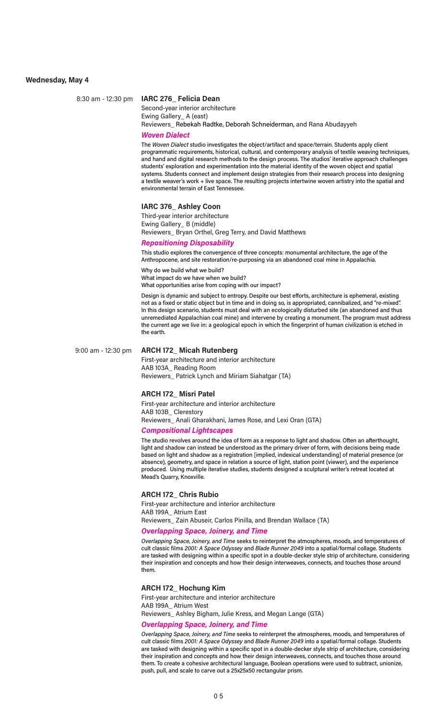#### **Wednesday, May 4**

#### 8:30 am - 12:30 pm **IARC 276\_ Felicia Dean**

Second-year interior architecture Ewing Gallery\_ A (east) Reviewers\_ Rebekah Radtke, Deborah Schneiderman, and Rana Abudayyeh

#### *Woven Dialect*

The *Woven Dialect* studio investigates the object/artifact and space/terrain. Students apply client programmatic requirements, historical, cultural, and contemporary analysis of textile weaving techniques, and hand and digital research methods to the design process. The studios' iterative approach challenges students' exploration and experimentation into the material identity of the woven object and spatial systems. Students connect and implement design strategies from their research process into designing a textile weaver's work + live space. The resulting projects intertwine woven artistry into the spatial and environmental terrain of East Tennessee.

#### **IARC 376\_ Ashley Coon**

Third-year interior architecture Ewing Gallery\_ B (middle) Reviewers\_ Bryan Orthel, Greg Terry, and David Matthews

#### *Repositioning Disposability*

This studio explores the convergence of three concepts: monumental architecture, the age of the Anthropocene, and site restoration/re-purposing via an abandoned coal mine in Appalachia.

Why do we build what we build? What impact do we have when we build? What opportunities arise from coping with our impact?

Design is dynamic and subject to entropy. Despite our best efforts, architecture is ephemeral, existing not as a fixed or static object but in time and in doing so, is appropriated, cannibalized, and "re-mixed". In this design scenario, students must deal with an ecologically disturbed site (an abandoned and thus unremediated Appalachian coal mine) and intervene by creating a monument. The program must address the current age we live in: a geological epoch in which the fingerprint of human civilization is etched in the earth.

#### 9:00 am - 12:30 pm **ARCH 172\_ Micah Rutenberg**

First-year architecture and interior architecture AAB 103A\_ Reading Room Reviewers\_ Patrick Lynch and Miriam Siahatgar (TA)

#### **ARCH 172\_ Misri Patel**

First-year architecture and interior architecture AAB 103B\_ Clerestory Reviewers\_ Anali Gharakhani, James Rose, and Lexi Oran (GTA)

#### *Compositional Lightscapes*

The studio revolves around the idea of form as a response to light and shadow. Often an afterthought, light and shadow can instead be understood as the primary driver of form, with decisions being made based on light and shadow as a registration [implied, indexical understanding] of material presence (or absence), geometry, and space in relation a source of light, station point (viewer), and the experience produced. Using multiple iterative studies, students designed a sculptural writer's retreat located at Mead's Quarry, Knoxville.

#### **ARCH 172\_ Chris Rubio**

First-year architecture and interior architecture AAB 199A\_ Atrium East Reviewers Zain Abuseir, Carlos Pinilla, and Brendan Wallace (TA)

#### *Overlapping Space, Joinery, and Time*

*Overlapping Space, Joinery, and Time* seeks to reinterpret the atmospheres, moods, and temperatures of cult classic films *2001: A Space Odyssey* and *Blade Runner 2049* into a spatial/formal collage. Students are tasked with designing within a specific spot in a double-decker style strip of architecture, considering their inspiration and concepts and how their design interweaves, connects, and touches those around them.

#### **ARCH 172\_ Hochung Kim**

First-year architecture and interior architecture AAB 199A\_ Atrium West Reviewers\_ Ashley Bigham, Julie Kress, and Megan Lange (GTA)

#### *Overlapping Space, Joinery, and Time*

*Overlapping Space, Joinery, and Time* seeks to reinterpret the atmospheres, moods, and temperatures of cult classic films *2001: A Space Odyssey* and *Blade Runner 2049* into a spatial/formal collage. Students are tasked with designing within a specific spot in a double-decker style strip of architecture, considering their inspiration and concepts and how their design interweaves, connects, and touches those around them. To create a cohesive architectural language, Boolean operations were used to subtract, unionize, push, pull, and scale to carve out a 25x25x50 rectangular prism.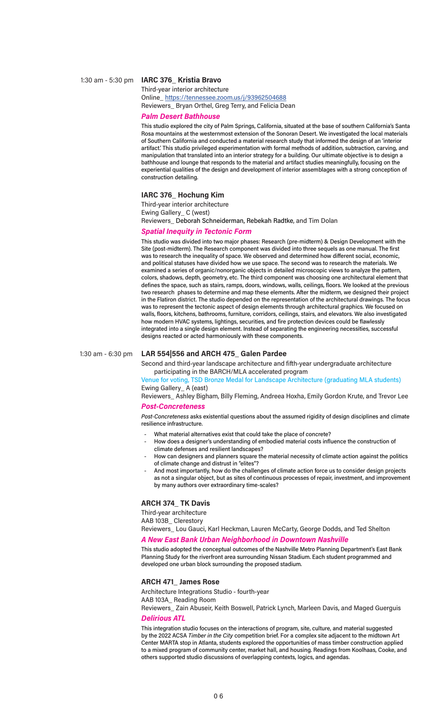#### 1:30 am - 5:30 pm **IARC 376\_ Kristia Bravo**

Third-year interior architecture Online\_ https://tennessee.zoom.us/j/93962504688 Reviewers\_ Bryan Orthel, Greg Terry, and Felicia Dean

#### *Palm Desert Bathhouse*

This studio explored the city of Palm Springs, California, situated at the base of southern California's Santa Rosa mountains at the westernmost extension of the Sonoran Desert. We investigated the local materials of Southern California and conducted a material research study that informed the design of an 'interior artifact.' This studio privileged experimentation with formal methods of addition, subtraction, carving, and manipulation that translated into an interior strategy for a building. Our ultimate objective is to design a bathhouse and lounge that responds to the material and artifact studies meaningfully, focusing on the experiential qualities of the design and development of interior assemblages with a strong conception of construction detailing.

#### **IARC 376\_ Hochung Kim**

Third-year interior architecture Ewing Gallery\_ C (west) Reviewers\_ Deborah Schneiderman, Rebekah Radtke, and Tim Dolan

#### *Spatial Inequity in Tectonic Form*

This studio was divided into two major phases: Research (pre-midterm) & Design Development with the Site (post-midterm). The Research component was divided into three sequels as one manual. The first was to research the inequality of space. We observed and determined how different social, economic, and political statuses have divided how we use space. The second was to research the materials. We examined a series of organic/nonorganic objects in detailed microscopic views to analyze the pattern, colors, shadows, depth, geometry, etc. The third component was choosing one architectural element that defines the space, such as stairs, ramps, doors, windows, walls, ceilings, floors. We looked at the previous two research phases to determine and map these elements. After the midterm, we designed their project in the Flatiron district. The studio depended on the representation of the architectural drawings. The focus was to represent the tectonic aspect of design elements through architectural graphics. We focused on walls, floors, kitchens, bathrooms, furniture, corridors, ceilings, stairs, and elevators. We also investigated how modern HVAC systems, lightings, securities, and fire protection devices could be flawlessly integrated into a single design element. Instead of separating the engineering necessities, successful designs reacted or acted harmoniously with these components.

#### 1:30 am - 6:30 pm **LAR 554|556 and ARCH 475\_ Galen Pardee**

Second and third-year landscape architecture and fifth-year undergraduate architecture participating in the BARCH/MLA accelerated program

Venue for voting, TSD Bronze Medal for Landscape Architecture (graduating MLA students) Ewing Gallery\_ A (east)

Reviewers\_ Ashley Bigham, Billy Fleming, Andreea Hoxha, Emily Gordon Krute, and Trevor Lee

#### *Post-Concreteness*

*Post-Concreteness* asks existential questions about the assumed rigidity of design disciplines and climate resilience infrastructure.

- What material alternatives exist that could take the place of concrete?
- How does a designer's understanding of embodied material costs influence the construction of climate defenses and resilient landscapes?
- How can designers and planners square the material necessity of climate action against the politics of climate change and distrust in "elites"?
- And most importantly, how do the challenges of climate action force us to consider design projects as not a singular object, but as sites of continuous processes of repair, investment, and improvement by many authors over extraordinary time-scales?

#### **ARCH 374\_ TK Davis**

Third-year architecture AAB 103B\_ Clerestory Reviewers\_ Lou Gauci, Karl Heckman, Lauren McCarty, George Dodds, and Ted Shelton

#### *A New East Bank Urban Neighborhood in Downtown Nashville*

This studio adopted the conceptual outcomes of the Nashville Metro Planning Department's East Bank Planning Study for the riverfront area surrounding Nissan Stadium. Each student programmed and developed one urban block surrounding the proposed stadium.

#### **ARCH 471\_ James Rose**

Architecture Integrations Studio - fourth-year

AAB 103A\_ Reading Room

Reviewers\_ Zain Abuseir, Keith Boswell, Patrick Lynch, Marleen Davis, and Maged Guerguis *Delirious ATL*

This integration studio focuses on the interactions of program, site, culture, and material suggested by the 2022 ACSA *Timber in the City* competition brief. For a complex site adjacent to the midtown Art Center MARTA stop in Atlanta, students explored the opportunities of mass timber construction applied to a mixed program of community center, market hall, and housing. Readings from Koolhaas, Cooke, and others supported studio discussions of overlapping contexts, logics, and agendas.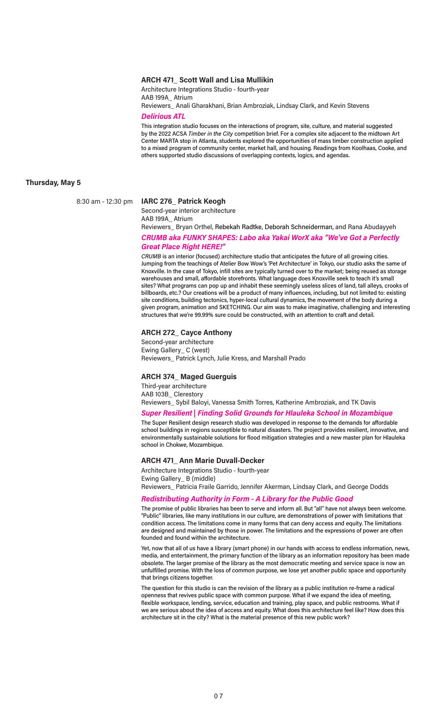#### **ARCH 471\_ Scott Wall and Lisa Mullikin**

Architecture Integrations Studio - fourth-year AAB 199A\_ Atrium

Reviewers\_ Anali Gharakhani, Brian Ambroziak, Lindsay Clark, and Kevin Stevens

*Delirious ATL*

This integration studio focuses on the interactions of program, site, culture, and material suggested by the 2022 ACSA *Timber in the City* competition brief. For a complex site adjacent to the midtown Art Center MARTA stop in Atlanta, students explored the opportunities of mass timber construction applied to a mixed program of community center, market hall, and housing. Readings from Koolhaas, Cooke, and others supported studio discussions of overlapping contexts, logics, and agendas.

#### **Thursday, May 5**

#### 8:30 am - 12:30 pm **IARC 276\_ Patrick Keogh**

Second-year interior architecture AAB 199A\_ Atrium

Reviewers\_ Bryan Orthel, Rebekah Radtke, Deborah Schneiderman, and Rana Abudayyeh

#### *CRUMB aka FUNKY SHAPES: Labo aka Yakai WorX aka "We've Got a Perfectly Great Place Right HERE!"*

*CRUMB* is an interior (focused) architecture studio that anticipates the future of all growing cities. Jumping from the teachings of Atelier Bow Wow's 'Pet Architecture' in Tokyo, our studio asks the same of Knoxville. In the case of Tokyo, infill sites are typically turned over to the market; being reused as storage warehouses and small, affordable storefronts. What language does Knoxville seek to teach it's small sites? What programs can pop up and inhabit these seemingly useless slices of land, tall alleys, crooks of billboards, etc.? Our creations will be a product of many influences, including, but not limited to: existing site conditions, building tectonics, hyper-local cultural dynamics, the movement of the body during a given program, animation and SKETCHING. Our aim was to make imaginative, challenging and interesting structures that we're 99.99% sure could be constructed, with an attention to craft and detail.

#### **ARCH 272\_ Cayce Anthony**

Second-year architecture Ewing Gallery\_ C (west) Reviewers\_ Patrick Lynch, Julie Kress, and Marshall Prado

#### **ARCH 374\_ Maged Guerguis**

Third-year architecture AAB 103B\_ Clerestory Reviewers\_ Sybil Baloyi, Vanessa Smith Torres, Katherine Ambroziak, and TK Davis

#### *Super Resilient | Finding Solid Grounds for Hlauleka School in Mozambique*

The Super Resilient design research studio was developed in response to the demands for affordable school buildings in regions susceptible to natural disasters. The project provides resilient, innovative, and environmentally sustainable solutions for flood mitigation strategies and a new master plan for Hlauleka school in Chokwe, Mozambique.

#### **ARCH 471\_ Ann Marie Duvall-Decker**

Architecture Integrations Studio - fourth-year Ewing Gallery\_ B (middle) Reviewers\_ Patricia Fraile Garrido, Jennifer Akerman, Lindsay Clark, and George Dodds

#### *Redistributing Authority in Form - A Library for the Public Good*

The promise of public libraries has been to serve and inform all. But "all" have not always been welcome. "Public" libraries, like many institutions in our culture, are demonstrations of power with limitations that condition access. The limitations come in many forms that can deny access and equity. The limitations are designed and maintained by those in power. The limitations and the expressions of power are often founded and found within the architecture.

Yet, now that all of us have a library (smart phone) in our hands with access to endless information, news, media, and entertainment, the primary function of the library as an information repository has been made obsolete. The larger promise of the library as the most democratic meeting and service space is now an unfulfilled promise. With the loss of common purpose, we lose yet another public space and opportunity that brings citizens together.

The question for this studio is can the revision of the library as a public institution re-frame a radical openness that revives public space with common purpose. What if we expand the idea of meeting, flexible workspace, lending, service, education and training, play space, and public restrooms. What if we are serious about the idea of access and equity. What does this architecture feel like? How does this architecture sit in the city? What is the material presence of this new public work?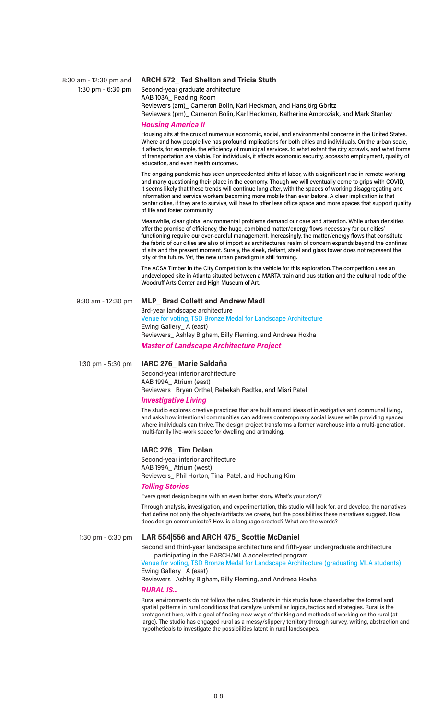#### 8:30 am - 12:30 pm and **ARCH 572\_ Ted Shelton and Tricia Stuth**

 1:30 pm - 6:30 pm Second-year graduate architecture AAB 103A\_ Reading Room

Reviewers (am)\_ Cameron Bolin, Karl Heckman, and Hansjörg Göritz

Reviewers (pm)\_ Cameron Bolin, Karl Heckman, Katherine Ambroziak, and Mark Stanley

#### *Housing America II*

Housing sits at the crux of numerous economic, social, and environmental concerns in the United States. Where and how people live has profound implications for both cities and individuals. On the urban scale, it affects, for example, the efficiency of municipal services, to what extent the city sprawls, and what forms of transportation are viable. For individuals, it affects economic security, access to employment, quality of education, and even health outcomes.

The ongoing pandemic has seen unprecedented shifts of labor, with a significant rise in remote working and many questioning their place in the economy. Though we will eventually come to grips with COVID, it seems likely that these trends will continue long after, with the spaces of working disaggregating and information and service workers becoming more mobile than ever before. A clear implication is that center cities, if they are to survive, will have to offer less office space and more spaces that support quality of life and foster community.

Meanwhile, clear global environmental problems demand our care and attention. While urban densities offer the promise of efficiency, the huge, combined matter/energy flows necessary for our cities' functioning require our ever-careful management. Increasingly, the matter/energy flows that constitute the fabric of our cities are also of import as architecture's realm of concern expands beyond the confines of site and the present moment. Surely, the sleek, defiant, steel and glass tower does not represent the city of the future. Yet, the new urban paradigm is still forming.

The ACSA Timber in the City Competition is the vehicle for this exploration. The competition uses an undeveloped site in Atlanta situated between a MARTA train and bus station and the cultural node of the Woodruff Arts Center and High Museum of Art.

#### 9:30 am - 12:30 pm **MLP\_ Brad Collett and Andrew Madl**

3rd-year landscape architecture Venue for voting, TSD Bronze Medal for Landscape Architecture Ewing Gallery\_ A (east) Reviewers\_ Ashley Bigham, Billy Fleming, and Andreea Hoxha

*Master of Landscape Architecture Project*

#### 1:30 pm - 5:30 pm **IARC 276\_ Marie Saldaña**

Second-year interior architecture AAB 199A\_ Atrium (east) Reviewers\_ Bryan Orthel, Rebekah Radtke, and Misri Patel

## *Investigative Living*

The studio explores creative practices that are built around ideas of investigative and communal living, and asks how intentional communities can address contemporary social issues while providing spaces where individuals can thrive. The design project transforms a former warehouse into a multi-generation, multi-family live-work space for dwelling and artmaking.

#### **IARC 276\_ Tim Dolan**

Second-year interior architecture AAB 199A\_ Atrium (west) Reviewers\_ Phil Horton, Tinal Patel, and Hochung Kim

#### *Telling Stories*

Every great design begins with an even better story. What's your story?

Through analysis, investigation, and experimentation, this studio will look for, and develop, the narratives that define not only the objects/artifacts we create, but the possibilities these narratives suggest. How does design communicate? How is a language created? What are the words?

### 1:30 pm - 6:30 pm **LAR 554|556 and ARCH 475\_ Scottie McDaniel**

Second and third-year landscape architecture and fifth-year undergraduate architecture participating in the BARCH/MLA accelerated program

Venue for voting, TSD Bronze Medal for Landscape Architecture (graduating MLA students) Ewing Gallery\_ A (east)

Reviewers\_ Ashley Bigham, Billy Fleming, and Andreea Hoxha

#### *RURAL IS...*

Rural environments do not follow the rules. Students in this studio have chased after the formal and spatial patterns in rural conditions that catalyze unfamiliar logics, tactics and strategies. Rural is the protagonist here, with a goal of finding new ways of thinking and methods of working on the rural (atlarge). The studio has engaged rural as a messy/slippery territory through survey, writing, abstraction and hypotheticals to investigate the possibilities latent in rural landscapes.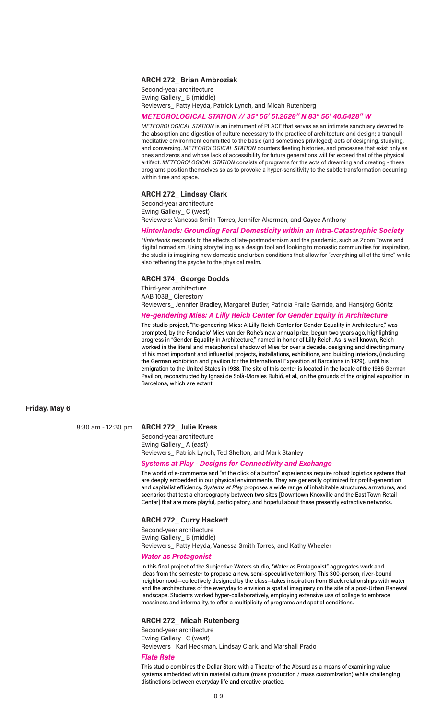#### **ARCH 272\_ Brian Ambroziak**

Second-year architecture Ewing Gallery\_ B (middle) Reviewers\_ Patty Heyda, Patrick Lynch, and Micah Rutenberg

#### *METEOROLOGICAL STATION // 35° 56' 51.2628'' N 83° 56' 40.6428'' W*

*METEOROLOGICAL STATION* is an instrument of PLACE that serves as an intimate sanctuary devoted to the absorption and digestion of culture necessary to the practice of architecture and design; a tranquil meditative environment committed to the basic (and sometimes privileged) acts of designing, studying, and conversing. *METEOROLOGICAL STATION* counters fleeting histories, and processes that exist only as ones and zeros and whose lack of accessibility for future generations will far exceed that of the physical artifact. *METEOROLOGICAL STATION* consists of programs for the acts of dreaming and creating - these programs position themselves so as to provoke a hyper-sensitivity to the subtle transformation occurring within time and space.

#### **ARCH 272\_ Lindsay Clark**

Second-year architecture Ewing Gallery\_ C (west) Reviewers: Vanessa Smith Torres, Jennifer Akerman, and Cayce Anthony

#### *Hinterlands: Grounding Feral Domesticity within an Intra-Catastrophic Society*

*Hinterlands* responds to the effects of late-postmodernism and the pandemic, such as Zoom Towns and digital nomadism. Using storytelling as a design tool and looking to monastic communities for inspiration, the studio is imagining new domestic and urban conditions that allow for "everything all of the time" while also tethering the psyche to the physical realm.

#### **ARCH 374\_ George Dodds**

Third-year architecture AAB 103B\_ Clerestory Reviewers\_ Jennifer Bradley, Margaret Butler, Patricia Fraile Garrido, and Hansjörg Göritz

#### *Re-gendering Mies: A Lilly Reich Center for Gender Equity in Architecture*

The studio project, "Re-gendering Mies: A Lilly Reich Center for Gender Equality in Architecture," was prompted, by the Fondacio' Mies van der Rohe's new annual prize, begun two years ago, highlighting progress in "Gender Equality in Architecture," named in honor of Lilly Reich. As is well known, Reich worked in the literal and metaphorical shadow of Mies for over a decade, designing and directing many of his most important and influential projects, installations, exhibitions, and building interiors, (including the German exhibition and pavilion for the International Exposition at Barcelona in 1929), until his emigration to the United States in 1938. The site of this center is located in the locale of the 1986 German Pavilion, reconstructed by Ignasi de Solà-Morales Rubió, et al., on the grounds of the original exposition in Barcelona, which are extant.

#### **Friday, May 6**

#### 8:30 am - 12:30 pm **ARCH 272\_ Julie Kress**

Second-year architecture Ewing Gallery\_ A (east) Reviewers\_ Patrick Lynch, Ted Shelton, and Mark Stanley

#### *Systems at Play - Designs for Connectivity and Exchange*

The world of e-commerce and "at the click of a button" experiences require robust logistics systems that are deeply embedded in our physical environments. They are generally optimized for profit-generation and capitalist efficiency. *Systems at Play* proposes a wide range of inhabitable structures, armatures, and scenarios that test a choreography between two sites [Downtown Knoxville and the East Town Retail Center] that are more playful, participatory, and hopeful about these presently extractive networks.

#### **ARCH 272\_ Curry Hackett**

Second-year architecture Ewing Gallery\_ B (middle) Reviewers\_ Patty Heyda, Vanessa Smith Torres, and Kathy Wheeler

#### *Water as Protagonist*

In this final project of the Subjective Waters studio, "Water as Protagonist" aggregates work and ideas from the semester to propose a new, semi-speculative territory. This 300-person, river-bound neighborhood—collectively designed by the class—takes inspiration from Black relationships with water and the architectures of the everyday to envision a spatial imaginary on the site of a post-Urban Renewal landscape. Students worked hyper-collaboratively, employing extensive use of collage to embrace messiness and informality, to offer a multiplicity of programs and spatial conditions.

#### **ARCH 272\_ Micah Rutenberg**

Second-year architecture Ewing Gallery\_ C (west) Reviewers\_ Karl Heckman, Lindsay Clark, and Marshall Prado

#### *Flate Rate*

This studio combines the Dollar Store with a Theater of the Absurd as a means of examining value systems embedded within material culture (mass production / mass customization) while challenging distinctions between everyday life and creative practice.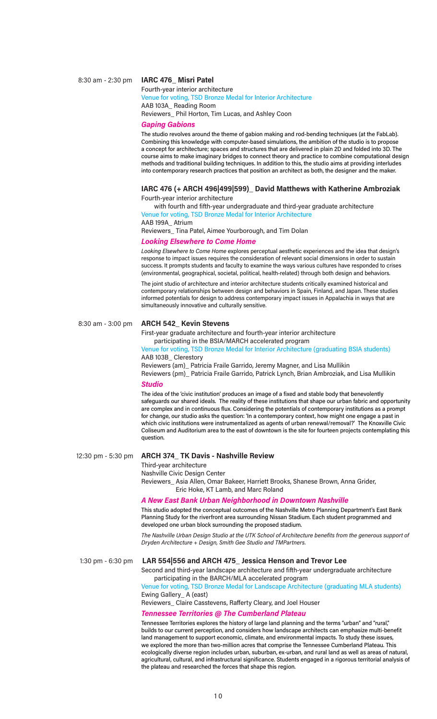#### 8:30 am - 2:30 pm **IARC 476\_ Misri Patel**

Fourth-year interior architecture Venue for voting, TSD Bronze Medal for Interior Architecture AAB 103A\_ Reading Room Reviewers\_ Phil Horton, Tim Lucas, and Ashley Coon

#### *Gaping Gabions*

The studio revolves around the theme of gabion making and rod-bending techniques (at the FabLab). Combining this knowledge with computer-based simulations, the ambition of the studio is to propose a concept for architecture; spaces and structures that are delivered in plain 2D and folded into 3D. The course aims to make imaginary bridges to connect theory and practice to combine computational design methods and traditional building techniques. In addition to this, the studio aims at providing interludes into contemporary research practices that position an architect as both, the designer and the maker.

#### **IARC 476 (+ ARCH 496|499|599)\_ David Matthews with Katherine Ambroziak**  Fourth-year interior architecture

with fourth and fifth-year undergraduate and third-year graduate architecture Venue for voting, TSD Bronze Medal for Interior Architecture

AAB 199A\_ Atrium Reviewers\_ Tina Patel, Aimee Yourborough, and Tim Dolan

#### *Looking Elsewhere to Come Home*

*Looking Elsewhere to Come Home* explores perceptual aesthetic experiences and the idea that design's response to impact issues requires the consideration of relevant social dimensions in order to sustain success. It prompts students and faculty to examine the ways various cultures have responded to crises (environmental, geographical, societal, political, health-related) through both design and behaviors.

The joint studio of architecture and interior architecture students critically examined historical and contemporary relationships between design and behaviors in Spain, Finland, and Japan. These studies informed potentials for design to address contemporary impact issues in Appalachia in ways that are simultaneously innovative and culturally sensitive.

#### 8:30 am - 3:00 pm **ARCH 542\_ Kevin Stevens**

First-year graduate architecture and fourth-year interior architecture participating in the BSIA/MARCH accelerated program

Venue for voting, TSD Bronze Medal for Interior Architecture (graduating BSIA students) AAB 103B\_ Clerestory

Reviewers (am)\_ Patricia Fraile Garrido, Jeremy Magner, and Lisa Mullikin Reviewers (pm)\_ Patricia Fraile Garrido, Patrick Lynch, Brian Ambroziak, and Lisa Mullikin

#### *Studio*

The idea of the 'civic institution' produces an image of a fixed and stable body that benevolently safeguards our shared ideals. The reality of these institutions that shape our urban fabric and opportunity are complex and in continuous flux. Considering the potentials of contemporary institutions as a prompt for change, our studio asks the question: 'In a contemporary context, how might one engage a past in which civic institutions were instrumentalized as agents of urban renewal/removal?' The Knoxville Civic Coliseum and Auditorium area to the east of downtown is the site for fourteen projects contemplating this question.

#### 12:30 pm - 5:30 pm **ARCH 374\_ TK Davis - Nashville Review**

Third-year architecture

Nashville Civic Design Center

Reviewers\_ Asia Allen, Omar Bakeer, Harriett Brooks, Shanese Brown, Anna Grider, Eric Hoke, KT Lamb, and Marc Roland

#### *A New East Bank Urban Neighborhood in Downtown Nashville*

This studio adopted the conceptual outcomes of the Nashville Metro Planning Department's East Bank Planning Study for the riverfront area surrounding Nissan Stadium. Each student programmed and developed one urban block surrounding the proposed stadium.

*The Nashville Urban Design Studio at the UTK School of Architecture benefits from the generous support of Dryden Architecture + Design, Smith Gee Studio and TMPartners.*

#### 1:30 pm - 6:30 pm **LAR 554|556 and ARCH 475\_ Jessica Henson and Trevor Lee**

Second and third-year landscape architecture and fifth-year undergraduate architecture participating in the BARCH/MLA accelerated program

Venue for voting, TSD Bronze Medal for Landscape Architecture (graduating MLA students) Ewing Gallery\_ A (east)

Reviewers\_ Claire Casstevens, Rafferty Cleary, and Joel Houser

#### *Tennessee Territories @ The Cumberland Plateau*

Tennessee Territories explores the history of large land planning and the terms "urban" and "rural," builds to our current perception, and considers how landscape architects can emphasize multi-benefit land management to support economic, climate, and environmental impacts. To study these issues, we explored the more than two-million acres that comprise the Tennessee Cumberland Plateau. This ecologically diverse region includes urban, suburban, ex-urban, and rural land as well as areas of natural, agricultural, cultural, and infrastructural significance. Students engaged in a rigorous territorial analysis of the plateau and researched the forces that shape this region.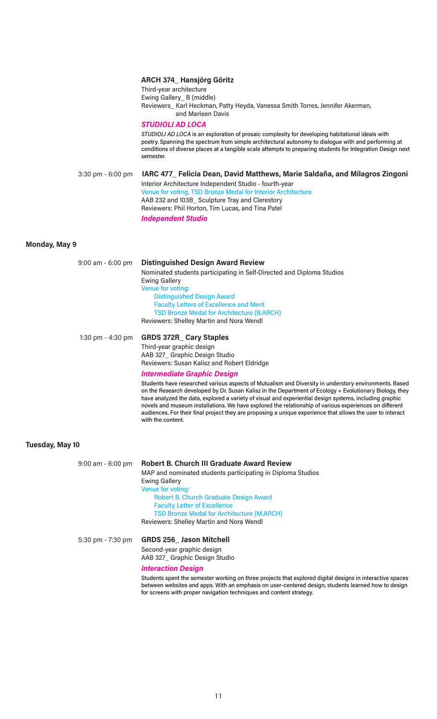| $3:30$ pm - $6:00$ pm  | Third-year architecture<br>Ewing Gallery_ B (middle)<br><b>STUDIOLI AD LOCA</b><br>semester. | <b>ARCH 374_ Hansjörg Göritz</b><br>Reviewers_ Karl Heckman, Patty Heyda, Vanessa Smith Torres, Jennifer Akerman,<br>and Marleen Davis<br>STUDIOLI AD LOCA is an exploration of prosaic complexity for developing habitational ideals with<br>poetry. Spanning the spectrum from simple architectural autonomy to dialogue with and performing at<br>conditions of diverse places at a tangible scale attempts to preparing students for Integration Design next<br>IARC 477_ Felicia Dean, David Matthews, Marie Saldaña, and Milagros Zingoni<br>Interior Architecture Independent Studio - fourth-year<br>Venue for voting, TSD Bronze Medal for Interior Architecture<br>AAB 232 and 103B_ Sculpture Tray and Clerestory |
|------------------------|----------------------------------------------------------------------------------------------|------------------------------------------------------------------------------------------------------------------------------------------------------------------------------------------------------------------------------------------------------------------------------------------------------------------------------------------------------------------------------------------------------------------------------------------------------------------------------------------------------------------------------------------------------------------------------------------------------------------------------------------------------------------------------------------------------------------------------|
|                        | <b>Independent Studio</b>                                                                    | Reviewers: Phil Horton, Tim Lucas, and Tina Patel                                                                                                                                                                                                                                                                                                                                                                                                                                                                                                                                                                                                                                                                            |
| Monday, May 9          |                                                                                              |                                                                                                                                                                                                                                                                                                                                                                                                                                                                                                                                                                                                                                                                                                                              |
| 9:00 am - 6:00 pm      | <b>Ewing Gallery</b><br>Venue for voting:                                                    | <b>Distinguished Design Award Review</b><br>Nominated students participating in Self-Directed and Diploma Studios<br><b>Distinguished Design Award</b><br><b>Faculty Letters of Excellence and Merit</b><br><b>TSD Bronze Medal for Architecture (B.ARCH)</b><br>Reviewers: Shelley Martin and Nora Wendl                                                                                                                                                                                                                                                                                                                                                                                                                    |
| 1:30 pm - $4:30$ pm    | <b>GRDS 372R_Cary Staples</b><br>Third-year graphic design<br>with the content.              | AAB 327_ Graphic Design Studio<br>Reviewers: Susan Kalisz and Robert Eldridge<br><b>Intermediate Graphic Design</b><br>Students have researched various aspects of Mutualism and Diversity in understory environments. Based<br>on the Research developed by Dr. Susan Kalisz in the Department of Ecology + Evolutionary Biology, they<br>have analyzed the data, explored a variety of visual and experiential design systems, including graphic<br>novels and museum installations. We have explored the relationship of various experiences on different<br>audiences. For their final project they are proposing a unique experience that allows the user to interact                                                   |
| <b>Tuesday, May 10</b> |                                                                                              |                                                                                                                                                                                                                                                                                                                                                                                                                                                                                                                                                                                                                                                                                                                              |
| 9:00 am - 6:00 pm      | <b>Ewing Gallery</b><br>Venue for voting:                                                    | <b>Robert B. Church III Graduate Award Review</b><br>MAP and nominated students participating in Diploma Studios<br><b>Robert B. Church Graduate Design Award</b><br><b>Faculty Letter of Excellence</b><br><b>TSD Bronze Medal for Architecture (M.ARCH)</b><br>Reviewers: Shelley Martin and Nora Wendl                                                                                                                                                                                                                                                                                                                                                                                                                    |
| 5:30 pm - 7:30 pm      | <b>GRDS 256_ Jason Mitchell</b><br>Second-year graphic design<br><b>Interaction Design</b>   | AAB 327_ Graphic Design Studio<br>Students spent the semester working on three projects that explored digital designs in interactive spaces<br>between websites and apps. With an emphasis on user-centered design, students learned how to design<br>for screens with proper navigation techniques and content strategy.                                                                                                                                                                                                                                                                                                                                                                                                    |